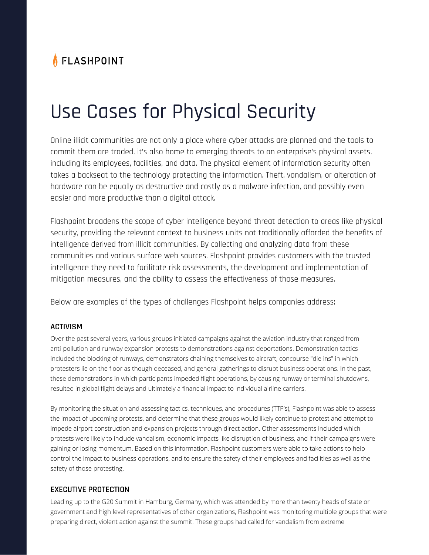# FLASHPOINT

# Use Cases for Physical Security

Online illicit communities are not only a place where cyber attacks are planned and the tools to commit them are traded, it's also home to emerging threats to an enterprise's physical assets, including its employees, facilities, and data. The physical element of information security often takes a backseat to the technology protecting the information. Theft, vandalism, or alteration of hardware can be equally as destructive and costly as a malware infection, and possibly even easier and more productive than a digital attack.

Flashpoint broadens the scope of cyber intelligence beyond threat detection to areas like physical security, providing the relevant context to business units not traditionally afforded the benefits of intelligence derived from illicit communities. By collecting and analyzing data from these communities and various surface web sources, Flashpoint provides customers with the trusted intelligence they need to facilitate risk assessments, the development and implementation of mitigation measures, and the ability to assess the effectiveness of those measures.

Below are examples of the types of challenges Flashpoint helps companies address:

#### **ACTIVISM**

Over the past several years, various groups initiated campaigns against the aviation industry that ranged from anti-pollution and runway expansion protests to demonstrations against deportations. Demonstration tactics included the blocking of runways, demonstrators chaining themselves to aircraft, concourse "die ins" in which protesters lie on the floor as though deceased, and general gatherings to disrupt business operations. In the past, these demonstrations in which participants impeded flight operations, by causing runway or terminal shutdowns, resulted in global flight delays and ultimately a financial impact to individual airline carriers.

By monitoring the situation and assessing tactics, techniques, and procedures (TTP's), Flashpoint was able to assess the impact of upcoming protests, and determine that these groups would likely continue to protest and attempt to impede airport construction and expansion projects through direct action. Other assessments included which protests were likely to include vandalism, economic impacts like disruption of business, and if their campaigns were gaining or losing momentum. Based on this information, Flashpoint customers were able to take actions to help control the impact to business operations, and to ensure the safety of their employees and facilities as well as the safety of those protesting.

## **EXECUTIVE PROTECTION**

Leading up to the G20 Summit in Hamburg, Germany, which was attended by more than twenty heads of state or government and high level representatives of other organizations, Flashpoint was monitoring multiple groups that were preparing direct, violent action against the summit. These groups had called for vandalism from extreme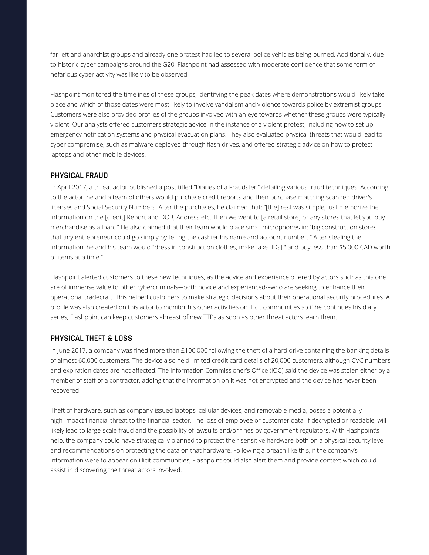far-left and anarchist groups and already one protest had led to several police vehicles being burned. Additionally, due to historic cyber campaigns around the G20, Flashpoint had assessed with moderate confidence that some form of nefarious cyber activity was likely to be observed.

Flashpoint monitored the timelines of these groups, identifying the peak dates where demonstrations would likely take place and which of those dates were most likely to involve vandalism and violence towards police by extremist groups. Customers were also provided profiles of the groups involved with an eye towards whether these groups were typically violent. Our analysts offered customers strategic advice in the instance of a violent protest, including how to set up emergency notification systems and physical evacuation plans. They also evaluated physical threats that would lead to cyber compromise, such as malware deployed through flash drives, and offered strategic advice on how to protect laptops and other mobile devices.

## **PHYSICAL FRAUD**

In April 2017, a threat actor published a post titled "Diaries of a Fraudster," detailing various fraud techniques. According to the actor, he and a team of others would purchase credit reports and then purchase matching scanned driver's licenses and Social Security Numbers. After the purchases, he claimed that: "[the] rest was simple, just memorize the information on the [credit] Report and DOB, Address etc. Then we went to [a retail store] or any stores that let you buy merchandise as a loan. " He also claimed that their team would place small microphones in: "big construction stores . . . that any entrepreneur could go simply by telling the cashier his name and account number. " After stealing the information, he and his team would "dress in construction clothes, make fake [IDs]," and buy less than \$5,000 CAD worth of items at a time."

Flashpoint alerted customers to these new techniques, as the advice and experience offered by actors such as this one are of immense value to other cybercriminals-–both novice and experienced-–who are seeking to enhance their operational tradecraft. This helped customers to make strategic decisions about their operational security procedures. A profile was also created on this actor to monitor his other activities on illicit communities so if he continues his diary series, Flashpoint can keep customers abreast of new TTPs as soon as other threat actors learn them.

#### **PHYSICAL THEFT & LOSS**

In June 2017, a company was fined more than £100,000 following the theft of a hard drive containing the banking details of almost 60,000 customers. The device also held limited credit card details of 20,000 customers, although CVC numbers and expiration dates are not affected. The Information Commissioner's Office (IOC) said the device was stolen either by a member of staff of a contractor, adding that the information on it was not encrypted and the device has never been recovered.

Theft of hardware, such as company-issued laptops, cellular devices, and removable media, poses a potentially high-impact financial threat to the financial sector. The loss of employee or customer data, if decrypted or readable, will likely lead to large-scale fraud and the possibility of lawsuits and/or fines by government regulators. With Flashpoint's help, the company could have strategically planned to protect their sensitive hardware both on a physical security level and recommendations on protecting the data on that hardware. Following a breach like this, if the company's information were to appear on illicit communities, Flashpoint could also alert them and provide context which could assist in discovering the threat actors involved.